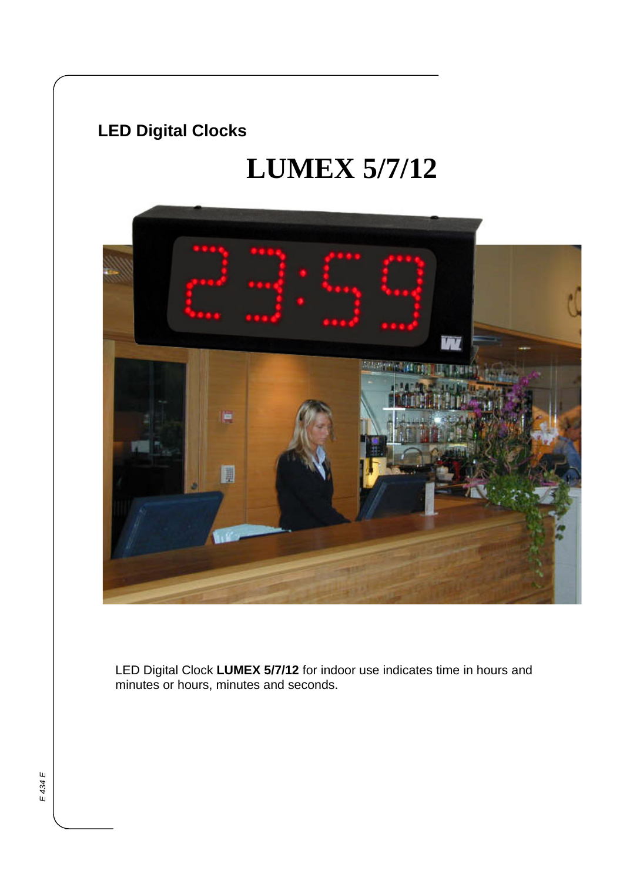## **LED Digital Clocks**

# **LUMEX 5/7/12**



LED Digital Clock **LUMEX 5/7/12** for indoor use indicates time in hours and minutes or hours, minutes and seconds.